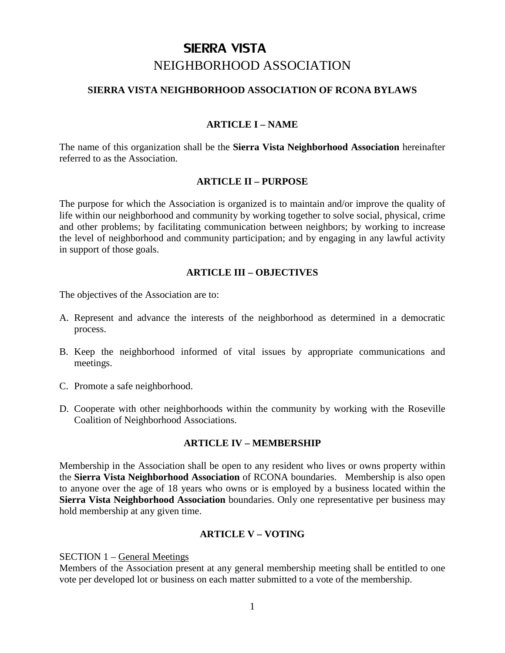# SIERRA VISTA NEIGHBORHOOD ASSOCIATION

### **SIERRA VISTA NEIGHBORHOOD ASSOCIATION OF RCONA BYLAWS**

## **ARTICLE I – NAME**

The name of this organization shall be the **Sierra Vista Neighborhood Association** hereinafter referred to as the Association.

### **ARTICLE II – PURPOSE**

The purpose for which the Association is organized is to maintain and/or improve the quality of life within our neighborhood and community by working together to solve social, physical, crime and other problems; by facilitating communication between neighbors; by working to increase the level of neighborhood and community participation; and by engaging in any lawful activity in support of those goals.

### **ARTICLE III – OBJECTIVES**

The objectives of the Association are to:

- A. Represent and advance the interests of the neighborhood as determined in a democratic process.
- B. Keep the neighborhood informed of vital issues by appropriate communications and meetings.
- C. Promote a safe neighborhood.
- D. Cooperate with other neighborhoods within the community by working with the Roseville Coalition of Neighborhood Associations.

### **ARTICLE IV – MEMBERSHIP**

Membership in the Association shall be open to any resident who lives or owns property within the **Sierra Vista Neighborhood Association** of RCONA boundaries. Membership is also open to anyone over the age of 18 years who owns or is employed by a business located within the **Sierra Vista Neighborhood Association** boundaries. Only one representative per business may hold membership at any given time.

### **ARTICLE V – VOTING**

### SECTION 1 – General Meetings

Members of the Association present at any general membership meeting shall be entitled to one vote per developed lot or business on each matter submitted to a vote of the membership.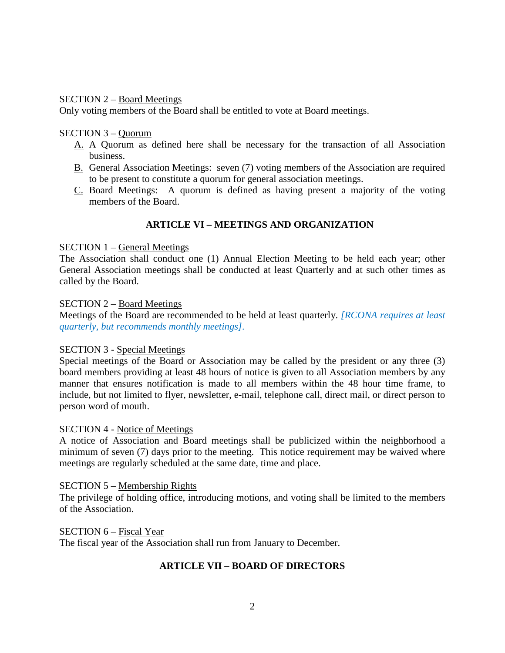### SECTION 2 – Board Meetings

Only voting members of the Board shall be entitled to vote at Board meetings.

### SECTION 3 – Quorum

- A. A Quorum as defined here shall be necessary for the transaction of all Association business.
- B. General Association Meetings: seven (7) voting members of the Association are required to be present to constitute a quorum for general association meetings.
- C. Board Meetings: A quorum is defined as having present a majority of the voting members of the Board.

# **ARTICLE VI – MEETINGS AND ORGANIZATION**

#### SECTION 1 – General Meetings

The Association shall conduct one (1) Annual Election Meeting to be held each year; other General Association meetings shall be conducted at least Quarterly and at such other times as called by the Board.

#### SECTION 2 – Board Meetings

Meetings of the Board are recommended to be held at least quarterly. *[RCONA requires at least quarterly, but recommends monthly meetings].*

### SECTION 3 - Special Meetings

Special meetings of the Board or Association may be called by the president or any three (3) board members providing at least 48 hours of notice is given to all Association members by any manner that ensures notification is made to all members within the 48 hour time frame, to include, but not limited to flyer, newsletter, e-mail, telephone call, direct mail, or direct person to person word of mouth.

#### SECTION 4 - Notice of Meetings

A notice of Association and Board meetings shall be publicized within the neighborhood a minimum of seven (7) days prior to the meeting. This notice requirement may be waived where meetings are regularly scheduled at the same date, time and place.

#### SECTION 5 – Membership Rights

The privilege of holding office, introducing motions, and voting shall be limited to the members of the Association.

SECTION 6 – Fiscal Year

The fiscal year of the Association shall run from January to December.

# **ARTICLE VII – BOARD OF DIRECTORS**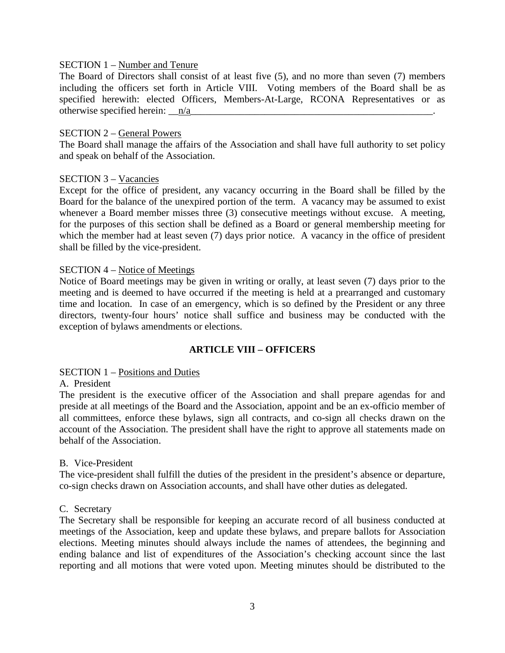### SECTION 1 – Number and Tenure

The Board of Directors shall consist of at least five (5), and no more than seven (7) members including the officers set forth in Article VIII. Voting members of the Board shall be as specified herewith: elected Officers, Members-At-Large, RCONA Representatives or as otherwise specified herein:  $\mathbf{n}/\mathbf{a}$ 

#### SECTION 2 – General Powers

The Board shall manage the affairs of the Association and shall have full authority to set policy and speak on behalf of the Association.

#### SECTION 3 – Vacancies

Except for the office of president, any vacancy occurring in the Board shall be filled by the Board for the balance of the unexpired portion of the term. A vacancy may be assumed to exist whenever a Board member misses three (3) consecutive meetings without excuse. A meeting, for the purposes of this section shall be defined as a Board or general membership meeting for which the member had at least seven (7) days prior notice. A vacancy in the office of president shall be filled by the vice-president.

#### SECTION 4 – Notice of Meetings

Notice of Board meetings may be given in writing or orally, at least seven (7) days prior to the meeting and is deemed to have occurred if the meeting is held at a prearranged and customary time and location. In case of an emergency, which is so defined by the President or any three directors, twenty-four hours' notice shall suffice and business may be conducted with the exception of bylaws amendments or elections.

### **ARTICLE VIII – OFFICERS**

### SECTION 1 – Positions and Duties

#### A. President

The president is the executive officer of the Association and shall prepare agendas for and preside at all meetings of the Board and the Association, appoint and be an ex-officio member of all committees, enforce these bylaws, sign all contracts, and co-sign all checks drawn on the account of the Association. The president shall have the right to approve all statements made on behalf of the Association.

#### B. Vice-President

The vice-president shall fulfill the duties of the president in the president's absence or departure, co-sign checks drawn on Association accounts, and shall have other duties as delegated.

### C. Secretary

The Secretary shall be responsible for keeping an accurate record of all business conducted at meetings of the Association, keep and update these bylaws, and prepare ballots for Association elections. Meeting minutes should always include the names of attendees, the beginning and ending balance and list of expenditures of the Association's checking account since the last reporting and all motions that were voted upon. Meeting minutes should be distributed to the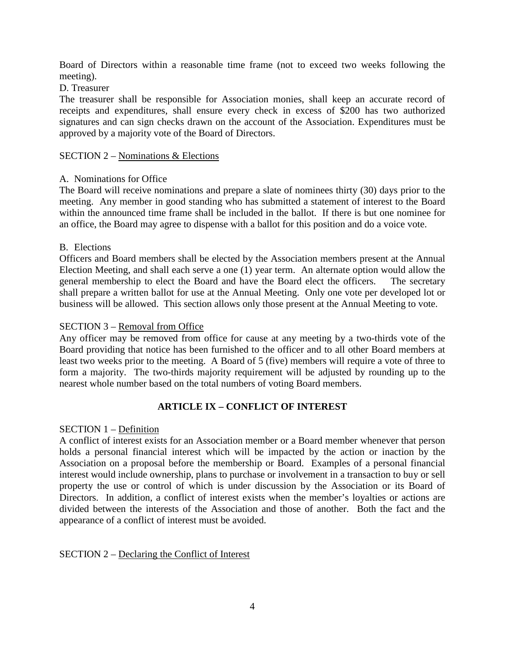Board of Directors within a reasonable time frame (not to exceed two weeks following the meeting).

### D. Treasurer

The treasurer shall be responsible for Association monies, shall keep an accurate record of receipts and expenditures, shall ensure every check in excess of \$200 has two authorized signatures and can sign checks drawn on the account of the Association. Expenditures must be approved by a majority vote of the Board of Directors.

### SECTION 2 – Nominations & Elections

### A. Nominations for Office

The Board will receive nominations and prepare a slate of nominees thirty (30) days prior to the meeting. Any member in good standing who has submitted a statement of interest to the Board within the announced time frame shall be included in the ballot. If there is but one nominee for an office, the Board may agree to dispense with a ballot for this position and do a voice vote.

### B. Elections

Officers and Board members shall be elected by the Association members present at the Annual Election Meeting, and shall each serve a one (1) year term. An alternate option would allow the general membership to elect the Board and have the Board elect the officers. The secretary shall prepare a written ballot for use at the Annual Meeting.Only one vote per developed lot or business will be allowed.This section allows only those present at the Annual Meeting to vote.

### SECTION 3 – Removal from Office

Any officer may be removed from office for cause at any meeting by a two-thirds vote of the Board providing that notice has been furnished to the officer and to all other Board members at least two weeks prior to the meeting. A Board of 5 (five) members will require a vote of three to form a majority. The two-thirds majority requirement will be adjusted by rounding up to the nearest whole number based on the total numbers of voting Board members.

# **ARTICLE IX – CONFLICT OF INTEREST**

### SECTION 1 – Definition

A conflict of interest exists for an Association member or a Board member whenever that person holds a personal financial interest which will be impacted by the action or inaction by the Association on a proposal before the membership or Board. Examples of a personal financial interest would include ownership, plans to purchase or involvement in a transaction to buy or sell property the use or control of which is under discussion by the Association or its Board of Directors. In addition, a conflict of interest exists when the member's loyalties or actions are divided between the interests of the Association and those of another. Both the fact and the appearance of a conflict of interest must be avoided.

### SECTION 2 – Declaring the Conflict of Interest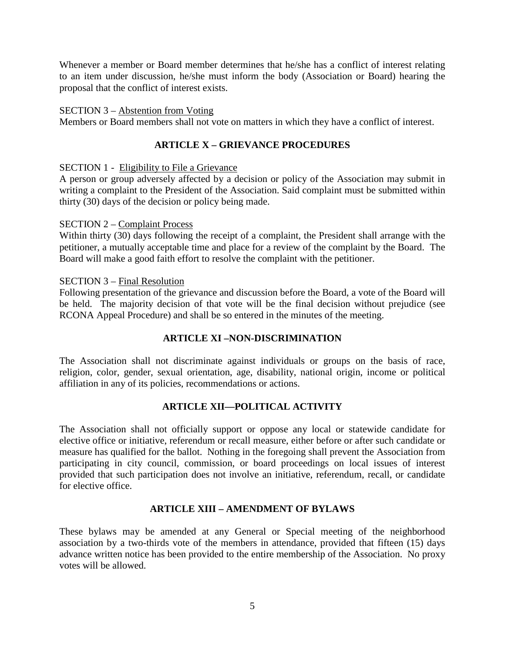Whenever a member or Board member determines that he/she has a conflict of interest relating to an item under discussion, he/she must inform the body (Association or Board) hearing the proposal that the conflict of interest exists.

### SECTION 3 – Abstention from Voting

Members or Board members shall not vote on matters in which they have a conflict of interest.

# **ARTICLE X – GRIEVANCE PROCEDURES**

### SECTION 1 - Eligibility to File a Grievance

A person or group adversely affected by a decision or policy of the Association may submit in writing a complaint to the President of the Association. Said complaint must be submitted within thirty (30) days of the decision or policy being made.

### SECTION 2 – Complaint Process

Within thirty (30) days following the receipt of a complaint, the President shall arrange with the petitioner, a mutually acceptable time and place for a review of the complaint by the Board. The Board will make a good faith effort to resolve the complaint with the petitioner.

### SECTION 3 – Final Resolution

Following presentation of the grievance and discussion before the Board, a vote of the Board will be held. The majority decision of that vote will be the final decision without prejudice (see RCONA Appeal Procedure) and shall be so entered in the minutes of the meeting.

# **ARTICLE XI –NON-DISCRIMINATION**

The Association shall not discriminate against individuals or groups on the basis of race, religion, color, gender, sexual orientation, age, disability, national origin, income or political affiliation in any of its policies, recommendations or actions.

# **ARTICLE XII—POLITICAL ACTIVITY**

The Association shall not officially support or oppose any local or statewide candidate for elective office or initiative, referendum or recall measure, either before or after such candidate or measure has qualified for the ballot. Nothing in the foregoing shall prevent the Association from participating in city council, commission, or board proceedings on local issues of interest provided that such participation does not involve an initiative, referendum, recall, or candidate for elective office.

# **ARTICLE XIII – AMENDMENT OF BYLAWS**

These bylaws may be amended at any General or Special meeting of the neighborhood association by a two-thirds vote of the members in attendance, provided that fifteen (15) days advance written notice has been provided to the entire membership of the Association. No proxy votes will be allowed.